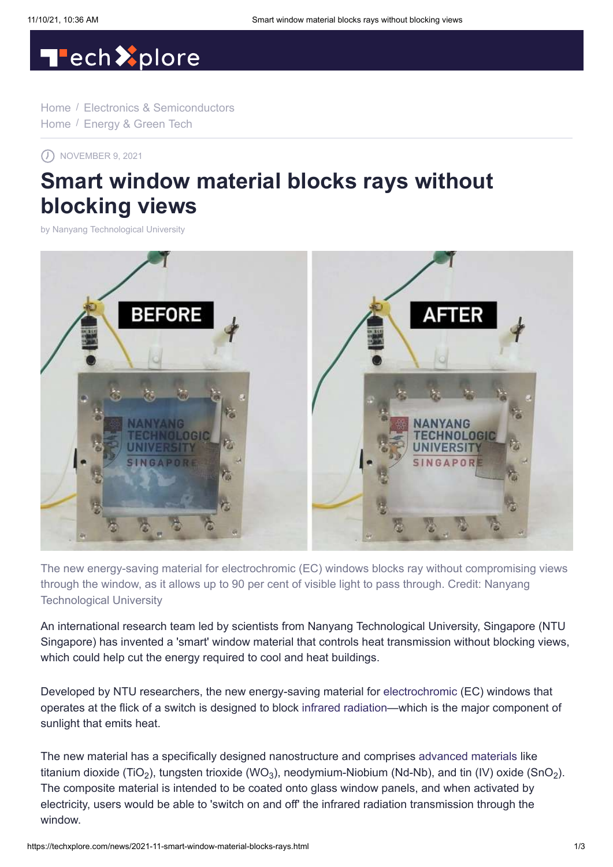# Tech<sup>2</sup>plore

[Home](https://techxplore.com/) / [Electronics & Semiconductors](https://techxplore.com/semiconductors-news/) [Home](https://techxplore.com/) / [Energy & Green Tech](https://techxplore.com/energy-green-tech-news/)

 $\Omega$  NOVEMBER 9, 2021

# **Smart window material blocks rays without blocking views**

by [Nanyang Technological University](http://www.ntu.edu.sg/Pages/default.aspx)



The new energy-saving material for electrochromic (EC) windows blocks ray without compromising views through the window, as it allows up to 90 per cent of visible light to pass through. Credit: Nanyang Technological University

An international research team led by scientists from Nanyang Technological University, Singapore (NTU Singapore) has invented a 'smart' window material that controls heat transmission without blocking views, which could help cut the energy required to cool and heat buildings.

Developed by NTU researchers, the new energy-saving material for [electrochromic](https://techxplore.com/tags/electrochromic/) (EC) windows that operates at the flick of a switch is designed to block [infrared radiation](https://techxplore.com/tags/infrared+radiation/)—which is the major component of sunlight that emits heat.

The new material has a specifically designed nanostructure and comprises [advanced materials](https://techxplore.com/tags/advanced+materials/) like titanium dioxide (TiO<sub>2</sub>), tungsten trioxide (WO<sub>3</sub>), neodymium-Niobium (Nd-Nb), and tin (IV) oxide (SnO<sub>2</sub>). The composite material is intended to be coated onto glass window panels, and when activated by electricity, users would be able to 'switch on and off' the infrared radiation transmission through the window.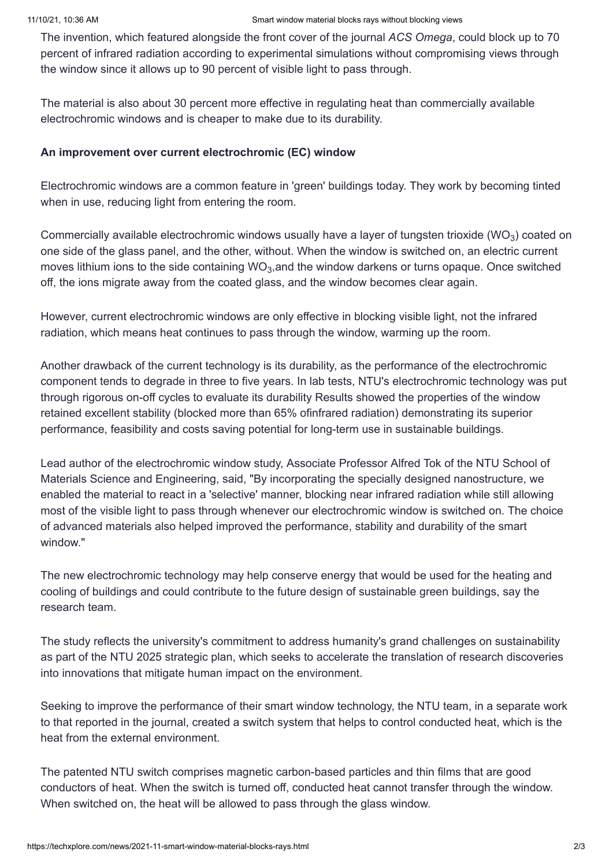The invention, which featured alongside the front cover of the journal *ACS Omega*, could block up to 70 percent of infrared radiation according to experimental simulations without compromising views through the window since it allows up to 90 percent of visible light to pass through.

The material is also about 30 percent more effective in regulating heat than commercially available electrochromic windows and is cheaper to make due to its durability.

#### **An improvement over current electrochromic (EC) window**

Electrochromic windows are a common feature in 'green' buildings today. They work by becoming tinted when in use, reducing light from entering the room.

Commercially available electrochromic windows usually have a layer of tungsten trioxide (WO $_3$ ) coated on one side of the glass panel, and the other, without. When the window is switched on, an electric current moves lithium ions to the side containing WO<sub>3</sub>,and the window darkens or turns opaque. Once switched off, the ions migrate away from the coated glass, and the window becomes clear again.

However, current electrochromic windows are only effective in blocking visible light, not the infrared radiation, which means heat continues to pass through the window, warming up the room.

Another drawback of the current technology is its durability, as the performance of the electrochromic component tends to degrade in three to five years. In lab tests, NTU's electrochromic technology was put through rigorous on-off cycles to evaluate its durability Results showed the properties of the window retained excellent stability (blocked more than 65% ofinfrared radiation) demonstrating its superior performance, feasibility and costs saving potential for long-term use in sustainable buildings.

Lead author of the electrochromic window study, Associate Professor Alfred Tok of the NTU School of Materials Science and Engineering, said, "By incorporating the specially designed nanostructure, we enabled the material to react in a 'selective' manner, blocking near infrared radiation while still allowing most of the visible light to pass through whenever our electrochromic window is switched on. The choice of advanced materials also helped improved the performance, stability and durability of the smart window."

The new electrochromic technology may help conserve energy that would be used for the heating and cooling of buildings and could contribute to the future design of sustainable green buildings, say the research team.

The study reflects the university's commitment to address humanity's grand challenges on sustainability as part of the NTU 2025 strategic plan, which seeks to accelerate the translation of research discoveries into innovations that mitigate human impact on the environment.

Seeking to improve the performance of their smart window technology, the NTU team, in a separate work to that reported in the journal, created a switch system that helps to control conducted heat, which is the heat from the external environment.

The patented NTU switch comprises magnetic carbon-based particles and thin films that are good conductors of heat. When the switch is turned off, conducted heat cannot transfer through the window. When switched on, the heat will be allowed to pass through the glass window.